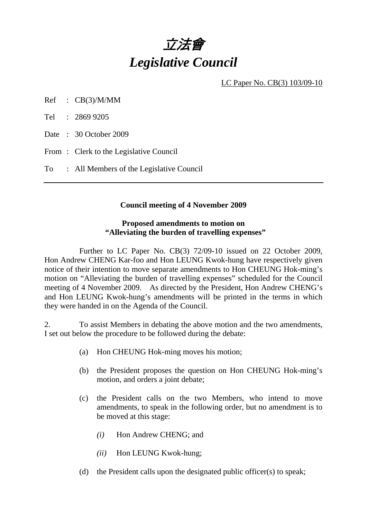

LC Paper No. CB(3) 103/09-10

Ref : CB(3)/M/MM

Tel : 2869 9205

Date : 30 October 2009

From : Clerk to the Legislative Council

To : All Members of the Legislative Council

#### **Council meeting of 4 November 2009**

#### **Proposed amendments to motion on "Alleviating the burden of travelling expenses"**

 Further to LC Paper No. CB(3) 72/09-10 issued on 22 October 2009, Hon Andrew CHENG Kar-foo and Hon LEUNG Kwok-hung have respectively given notice of their intention to move separate amendments to Hon CHEUNG Hok-ming's motion on "Alleviating the burden of travelling expenses" scheduled for the Council meeting of 4 November 2009. As directed by the President, Hon Andrew CHENG's and Hon LEUNG Kwok-hung's amendments will be printed in the terms in which they were handed in on the Agenda of the Council.

2. To assist Members in debating the above motion and the two amendments, I set out below the procedure to be followed during the debate:

- (a) Hon CHEUNG Hok-ming moves his motion;
- (b) the President proposes the question on Hon CHEUNG Hok-ming's motion, and orders a joint debate;
- (c) the President calls on the two Members, who intend to move amendments, to speak in the following order, but no amendment is to be moved at this stage:
	- *(i)* Hon Andrew CHENG; and
	- *(ii)* Hon LEUNG Kwok-hung;
- (d) the President calls upon the designated public officer(s) to speak;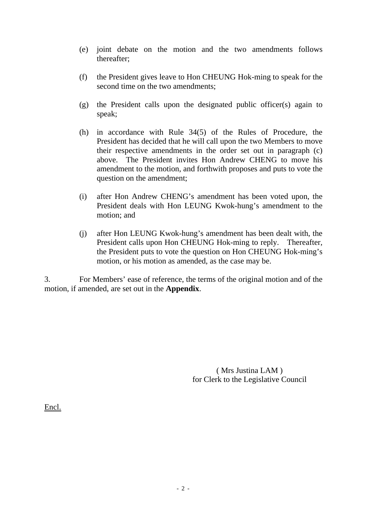- (e) joint debate on the motion and the two amendments follows thereafter;
- (f) the President gives leave to Hon CHEUNG Hok-ming to speak for the second time on the two amendments;
- (g) the President calls upon the designated public officer(s) again to speak;
- (h) in accordance with Rule 34(5) of the Rules of Procedure, the President has decided that he will call upon the two Members to move their respective amendments in the order set out in paragraph (c) above. The President invites Hon Andrew CHENG to move his amendment to the motion, and forthwith proposes and puts to vote the question on the amendment;
- (i) after Hon Andrew CHENG's amendment has been voted upon, the President deals with Hon LEUNG Kwok-hung's amendment to the motion; and
- (j) after Hon LEUNG Kwok-hung's amendment has been dealt with, the President calls upon Hon CHEUNG Hok-ming to reply. Thereafter, the President puts to vote the question on Hon CHEUNG Hok-ming's motion, or his motion as amended, as the case may be.

3. For Members' ease of reference, the terms of the original motion and of the motion, if amended, are set out in the **Appendix**.

> ( Mrs Justina LAM ) for Clerk to the Legislative Council

Encl.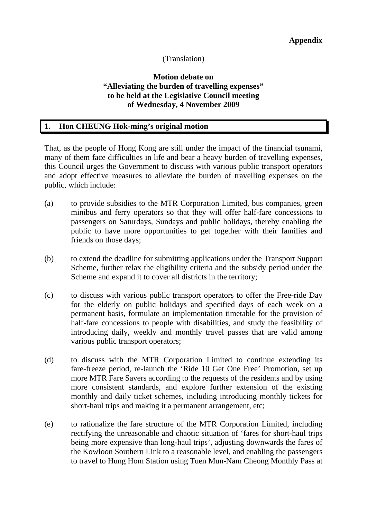# (Translation)

## **Motion debate on "Alleviating the burden of travelling expenses" to be held at the Legislative Council meeting of Wednesday, 4 November 2009**

#### **1. Hon CHEUNG Hok-ming's original motion**

That, as the people of Hong Kong are still under the impact of the financial tsunami, many of them face difficulties in life and bear a heavy burden of travelling expenses, this Council urges the Government to discuss with various public transport operators and adopt effective measures to alleviate the burden of travelling expenses on the public, which include:

- (a) to provide subsidies to the MTR Corporation Limited, bus companies, green minibus and ferry operators so that they will offer half-fare concessions to passengers on Saturdays, Sundays and public holidays, thereby enabling the public to have more opportunities to get together with their families and friends on those days;
- (b) to extend the deadline for submitting applications under the Transport Support Scheme, further relax the eligibility criteria and the subsidy period under the Scheme and expand it to cover all districts in the territory;
- (c) to discuss with various public transport operators to offer the Free-ride Day for the elderly on public holidays and specified days of each week on a permanent basis, formulate an implementation timetable for the provision of half-fare concessions to people with disabilities, and study the feasibility of introducing daily, weekly and monthly travel passes that are valid among various public transport operators;
- (d) to discuss with the MTR Corporation Limited to continue extending its fare-freeze period, re-launch the 'Ride 10 Get One Free' Promotion, set up more MTR Fare Savers according to the requests of the residents and by using more consistent standards, and explore further extension of the existing monthly and daily ticket schemes, including introducing monthly tickets for short-haul trips and making it a permanent arrangement, etc;
- (e) to rationalize the fare structure of the MTR Corporation Limited, including rectifying the unreasonable and chaotic situation of 'fares for short-haul trips being more expensive than long-haul trips', adjusting downwards the fares of the Kowloon Southern Link to a reasonable level, and enabling the passengers to travel to Hung Hom Station using Tuen Mun-Nam Cheong Monthly Pass at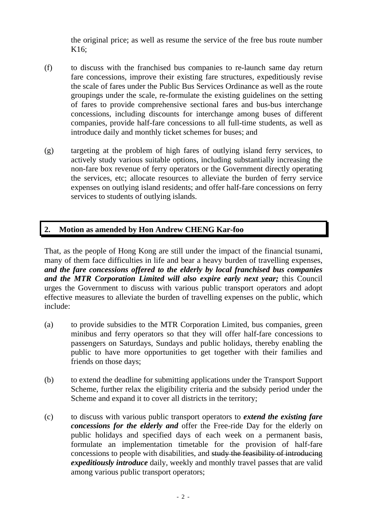the original price; as well as resume the service of the free bus route number K16;

- (f) to discuss with the franchised bus companies to re-launch same day return fare concessions, improve their existing fare structures, expeditiously revise the scale of fares under the Public Bus Services Ordinance as well as the route groupings under the scale, re-formulate the existing guidelines on the setting of fares to provide comprehensive sectional fares and bus-bus interchange concessions, including discounts for interchange among buses of different companies, provide half-fare concessions to all full-time students, as well as introduce daily and monthly ticket schemes for buses; and
- (g) targeting at the problem of high fares of outlying island ferry services, to actively study various suitable options, including substantially increasing the non-fare box revenue of ferry operators or the Government directly operating the services, etc; allocate resources to alleviate the burden of ferry service expenses on outlying island residents; and offer half-fare concessions on ferry services to students of outlying islands.

# **2. Motion as amended by Hon Andrew CHENG Kar-foo**

That, as the people of Hong Kong are still under the impact of the financial tsunami, many of them face difficulties in life and bear a heavy burden of travelling expenses, *and the fare concessions offered to the elderly by local franchised bus companies and the MTR Corporation Limited will also expire early next year;* this Council urges the Government to discuss with various public transport operators and adopt effective measures to alleviate the burden of travelling expenses on the public, which include:

- (a) to provide subsidies to the MTR Corporation Limited, bus companies, green minibus and ferry operators so that they will offer half-fare concessions to passengers on Saturdays, Sundays and public holidays, thereby enabling the public to have more opportunities to get together with their families and friends on those days;
- (b) to extend the deadline for submitting applications under the Transport Support Scheme, further relax the eligibility criteria and the subsidy period under the Scheme and expand it to cover all districts in the territory;
- (c) to discuss with various public transport operators to *extend the existing fare concessions for the elderly and* offer the Free-ride Day for the elderly on public holidays and specified days of each week on a permanent basis, formulate an implementation timetable for the provision of half-fare concessions to people with disabilities, and study the feasibility of introducing *expeditiously introduce* daily, weekly and monthly travel passes that are valid among various public transport operators;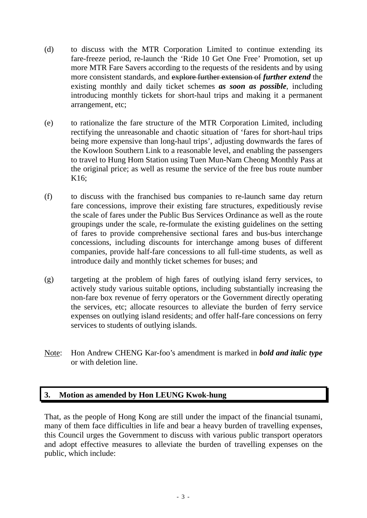- (d) to discuss with the MTR Corporation Limited to continue extending its fare-freeze period, re-launch the 'Ride 10 Get One Free' Promotion, set up more MTR Fare Savers according to the requests of the residents and by using more consistent standards, and explore further extension of *further extend* the existing monthly and daily ticket schemes *as soon as possible*, including introducing monthly tickets for short-haul trips and making it a permanent arrangement, etc;
- (e) to rationalize the fare structure of the MTR Corporation Limited, including rectifying the unreasonable and chaotic situation of 'fares for short-haul trips being more expensive than long-haul trips', adjusting downwards the fares of the Kowloon Southern Link to a reasonable level, and enabling the passengers to travel to Hung Hom Station using Tuen Mun-Nam Cheong Monthly Pass at the original price; as well as resume the service of the free bus route number K16;
- (f) to discuss with the franchised bus companies to re-launch same day return fare concessions, improve their existing fare structures, expeditiously revise the scale of fares under the Public Bus Services Ordinance as well as the route groupings under the scale, re-formulate the existing guidelines on the setting of fares to provide comprehensive sectional fares and bus-bus interchange concessions, including discounts for interchange among buses of different companies, provide half-fare concessions to all full-time students, as well as introduce daily and monthly ticket schemes for buses; and
- (g) targeting at the problem of high fares of outlying island ferry services, to actively study various suitable options, including substantially increasing the non-fare box revenue of ferry operators or the Government directly operating the services, etc; allocate resources to alleviate the burden of ferry service expenses on outlying island residents; and offer half-fare concessions on ferry services to students of outlying islands.
- Note: Hon Andrew CHENG Kar-foo's amendment is marked in *bold and italic type* or with deletion line.

#### **3. Motion as amended by Hon LEUNG Kwok-hung**

That, as the people of Hong Kong are still under the impact of the financial tsunami, many of them face difficulties in life and bear a heavy burden of travelling expenses, this Council urges the Government to discuss with various public transport operators and adopt effective measures to alleviate the burden of travelling expenses on the public, which include: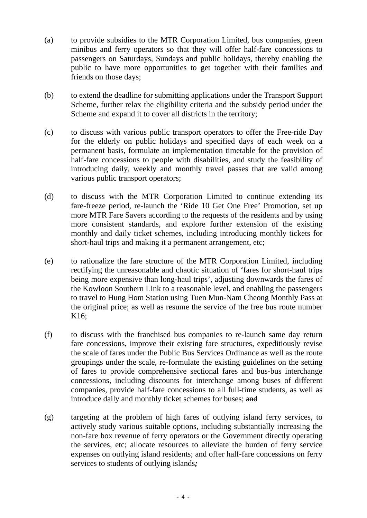- (a) to provide subsidies to the MTR Corporation Limited, bus companies, green minibus and ferry operators so that they will offer half-fare concessions to passengers on Saturdays, Sundays and public holidays, thereby enabling the public to have more opportunities to get together with their families and friends on those days;
- (b) to extend the deadline for submitting applications under the Transport Support Scheme, further relax the eligibility criteria and the subsidy period under the Scheme and expand it to cover all districts in the territory:
- (c) to discuss with various public transport operators to offer the Free-ride Day for the elderly on public holidays and specified days of each week on a permanent basis, formulate an implementation timetable for the provision of half-fare concessions to people with disabilities, and study the feasibility of introducing daily, weekly and monthly travel passes that are valid among various public transport operators;
- (d) to discuss with the MTR Corporation Limited to continue extending its fare-freeze period, re-launch the 'Ride 10 Get One Free' Promotion, set up more MTR Fare Savers according to the requests of the residents and by using more consistent standards, and explore further extension of the existing monthly and daily ticket schemes, including introducing monthly tickets for short-haul trips and making it a permanent arrangement, etc;
- (e) to rationalize the fare structure of the MTR Corporation Limited, including rectifying the unreasonable and chaotic situation of 'fares for short-haul trips being more expensive than long-haul trips', adjusting downwards the fares of the Kowloon Southern Link to a reasonable level, and enabling the passengers to travel to Hung Hom Station using Tuen Mun-Nam Cheong Monthly Pass at the original price; as well as resume the service of the free bus route number K16;
- (f) to discuss with the franchised bus companies to re-launch same day return fare concessions, improve their existing fare structures, expeditiously revise the scale of fares under the Public Bus Services Ordinance as well as the route groupings under the scale, re-formulate the existing guidelines on the setting of fares to provide comprehensive sectional fares and bus-bus interchange concessions, including discounts for interchange among buses of different companies, provide half-fare concessions to all full-time students, as well as introduce daily and monthly ticket schemes for buses; and
- (g) targeting at the problem of high fares of outlying island ferry services, to actively study various suitable options, including substantially increasing the non-fare box revenue of ferry operators or the Government directly operating the services, etc; allocate resources to alleviate the burden of ferry service expenses on outlying island residents; and offer half-fare concessions on ferry services to students of outlying islands*;*